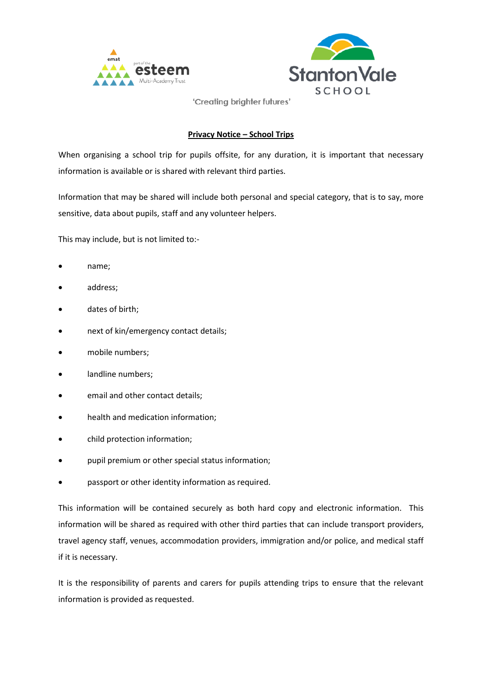



'Creating brighter futures'

## **Privacy Notice – School Trips**

When organising a school trip for pupils offsite, for any duration, it is important that necessary information is available or is shared with relevant third parties.

Information that may be shared will include both personal and special category, that is to say, more sensitive, data about pupils, staff and any volunteer helpers.

This may include, but is not limited to:-

- name;
- address;
- dates of birth;
- next of kin/emergency contact details;
- mobile numbers;
- landline numbers;
- email and other contact details;
- health and medication information;
- child protection information;
- pupil premium or other special status information;
- passport or other identity information as required.

This information will be contained securely as both hard copy and electronic information. This information will be shared as required with other third parties that can include transport providers, travel agency staff, venues, accommodation providers, immigration and/or police, and medical staff if it is necessary.

It is the responsibility of parents and carers for pupils attending trips to ensure that the relevant information is provided as requested.